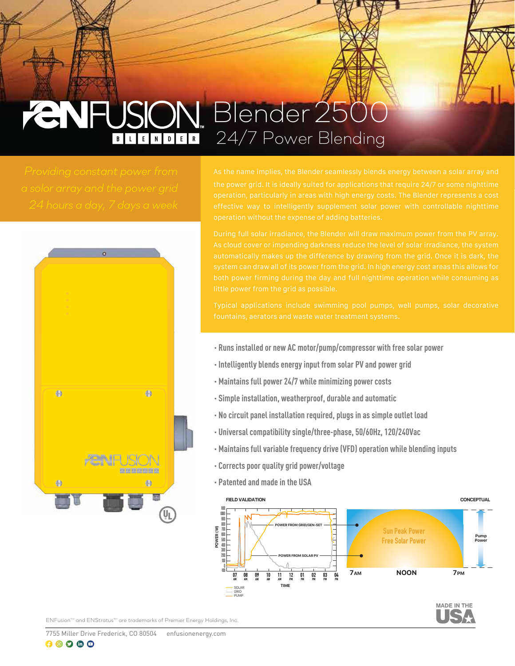# *CNFUSION Blender 2500 24/7 Power Blending*



- **· Runs installed or new AC motor/pump/compressor with free solar power**
- **· Intelligently blends energy input from solar PV and power grid**
- **· Maintains full power 24/7 while minimizing power costs**
- **· Simple installation, weatherproof, durable and automatic**
- **· No circuit panel installation required, plugs in as simple outlet load**
- **· Universal compatibility single/three-phase, 50/60Hz, 120/240Vac**
- **· Maintains full variable frequency drive (VFD) operation while blending inputs**
- **· Corrects poor quality grid power/voltage**
- **· Patented and made in the USA**





*ENFusionTM and ENStratusTM are trademarks of Premier Energy Holdings, Inc.*